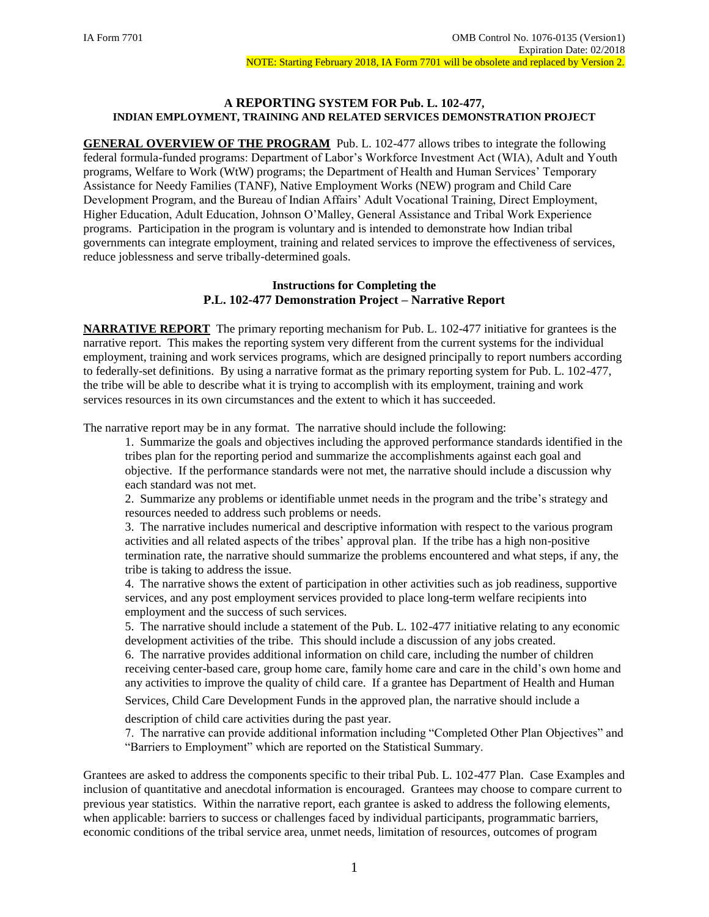## **A REPORTING SYSTEM FOR Pub. L. 102-477, INDIAN EMPLOYMENT, TRAINING AND RELATED SERVICES DEMONSTRATION PROJECT**

**GENERAL OVERVIEW OF THE PROGRAM** Pub. L. 102-477 allows tribes to integrate the following federal formula-funded programs: Department of Labor's Workforce Investment Act (WIA), Adult and Youth programs, Welfare to Work (WtW) programs; the Department of Health and Human Services' Temporary Assistance for Needy Families (TANF), Native Employment Works (NEW) program and Child Care Development Program, and the Bureau of Indian Affairs' Adult Vocational Training, Direct Employment, Higher Education, Adult Education, Johnson O'Malley, General Assistance and Tribal Work Experience programs. Participation in the program is voluntary and is intended to demonstrate how Indian tribal governments can integrate employment, training and related services to improve the effectiveness of services, reduce joblessness and serve tribally-determined goals.

## **Instructions for Completing the P.L. 102-477 Demonstration Project – Narrative Report**

**NARRATIVE REPORT** The primary reporting mechanism for Pub. L. 102-477 initiative for grantees is the narrative report. This makes the reporting system very different from the current systems for the individual employment, training and work services programs, which are designed principally to report numbers according to federally-set definitions. By using a narrative format as the primary reporting system for Pub. L. 102-477, the tribe will be able to describe what it is trying to accomplish with its employment, training and work services resources in its own circumstances and the extent to which it has succeeded.

The narrative report may be in any format. The narrative should include the following:

1. Summarize the goals and objectives including the approved performance standards identified in the tribes plan for the reporting period and summarize the accomplishments against each goal and objective. If the performance standards were not met, the narrative should include a discussion why each standard was not met.

2. Summarize any problems or identifiable unmet needs in the program and the tribe's strategy and resources needed to address such problems or needs.

3. The narrative includes numerical and descriptive information with respect to the various program activities and all related aspects of the tribes' approval plan. If the tribe has a high non-positive termination rate, the narrative should summarize the problems encountered and what steps, if any, the tribe is taking to address the issue.

4. The narrative shows the extent of participation in other activities such as job readiness, supportive services, and any post employment services provided to place long-term welfare recipients into employment and the success of such services.

5. The narrative should include a statement of the Pub. L. 102-477 initiative relating to any economic development activities of the tribe. This should include a discussion of any jobs created.

6. The narrative provides additional information on child care, including the number of children receiving center-based care, group home care, family home care and care in the child's own home and any activities to improve the quality of child care. If a grantee has Department of Health and Human

Services, Child Care Development Funds in the approved plan, the narrative should include a

description of child care activities during the past year.

7. The narrative can provide additional information including "Completed Other Plan Objectives" and "Barriers to Employment" which are reported on the Statistical Summary.

Grantees are asked to address the components specific to their tribal Pub. L. 102-477 Plan. Case Examples and inclusion of quantitative and anecdotal information is encouraged. Grantees may choose to compare current to previous year statistics. Within the narrative report, each grantee is asked to address the following elements, when applicable: barriers to success or challenges faced by individual participants, programmatic barriers, economic conditions of the tribal service area, unmet needs, limitation of resources, outcomes of program